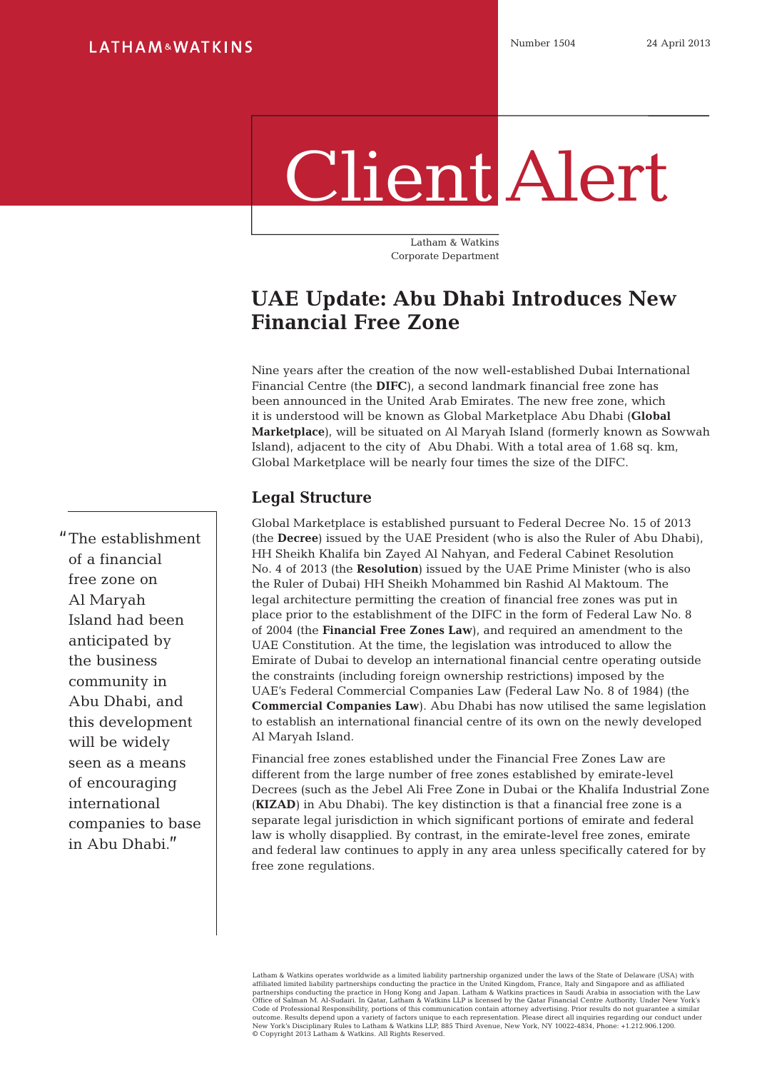# Client Alert

Latham & Watkins Corporate Department

# **UAE Update: Abu Dhabi Introduces New Financial Free Zone**

Nine years after the creation of the now well-established Dubai International Financial Centre (the **DIFC**), a second landmark financial free zone has been announced in the United Arab Emirates. The new free zone, which it is understood will be known as Global Marketplace Abu Dhabi (**Global Marketplace**), will be situated on Al Maryah Island (formerly known as Sowwah Island), adjacent to the city of Abu Dhabi. With a total area of 1.68 sq. km, Global Marketplace will be nearly four times the size of the DIFC.

# **Legal Structure**

Global Marketplace is established pursuant to Federal Decree No. 15 of 2013 (the **Decree**) issued by the UAE President (who is also the Ruler of Abu Dhabi), HH Sheikh Khalifa bin Zayed Al Nahyan, and Federal Cabinet Resolution No. 4 of 2013 (the **Resolution**) issued by the UAE Prime Minister (who is also the Ruler of Dubai) HH Sheikh Mohammed bin Rashid Al Maktoum. The legal architecture permitting the creation of financial free zones was put in place prior to the establishment of the DIFC in the form of Federal Law No. 8 of 2004 (the **Financial Free Zones Law**), and required an amendment to the UAE Constitution. At the time, the legislation was introduced to allow the Emirate of Dubai to develop an international financial centre operating outside the constraints (including foreign ownership restrictions) imposed by the UAE's Federal Commercial Companies Law (Federal Law No. 8 of 1984) (the **Commercial Companies Law**). Abu Dhabi has now utilised the same legislation to establish an international financial centre of its own on the newly developed Al Maryah Island.

Financial free zones established under the Financial Free Zones Law are different from the large number of free zones established by emirate-level Decrees (such as the Jebel Ali Free Zone in Dubai or the Khalifa Industrial Zone (**KIZAD**) in Abu Dhabi). The key distinction is that a financial free zone is a separate legal jurisdiction in which significant portions of emirate and federal law is wholly disapplied. By contrast, in the emirate-level free zones, emirate and federal law continues to apply in any area unless specifically catered for by free zone regulations.

Latham & Watkins operates worldwide as a limited liability partnership organized under the laws of the State of Delaware (USA) with affiliated limited liability partnerships conducting the practice in the United Kingdom, France, Italy and Singapore and as affiliated<br>partnerships conducting the practice in Hong Kong and Japan. Latham & Watkins practices Office of Salman M. Al-Sudairi. In Qatar, Latham & Watkins LLP is licensed by the Qatar Financial Centre Authority. Under New York's Code of Professional Responsibility, portions of this communication contain attorney advertising. Prior results do not guarantee a similar<br>outcome. Results depend upon a variety of factors unique to each representation. Pl © Copyright 2013 Latham & Watkins. All Rights Reserved.

"The establishment of a financial free zone on Al Maryah Island had been anticipated by the business community in Abu Dhabi, and this development will be widely seen as a means of encouraging international companies to base in Abu Dhabi."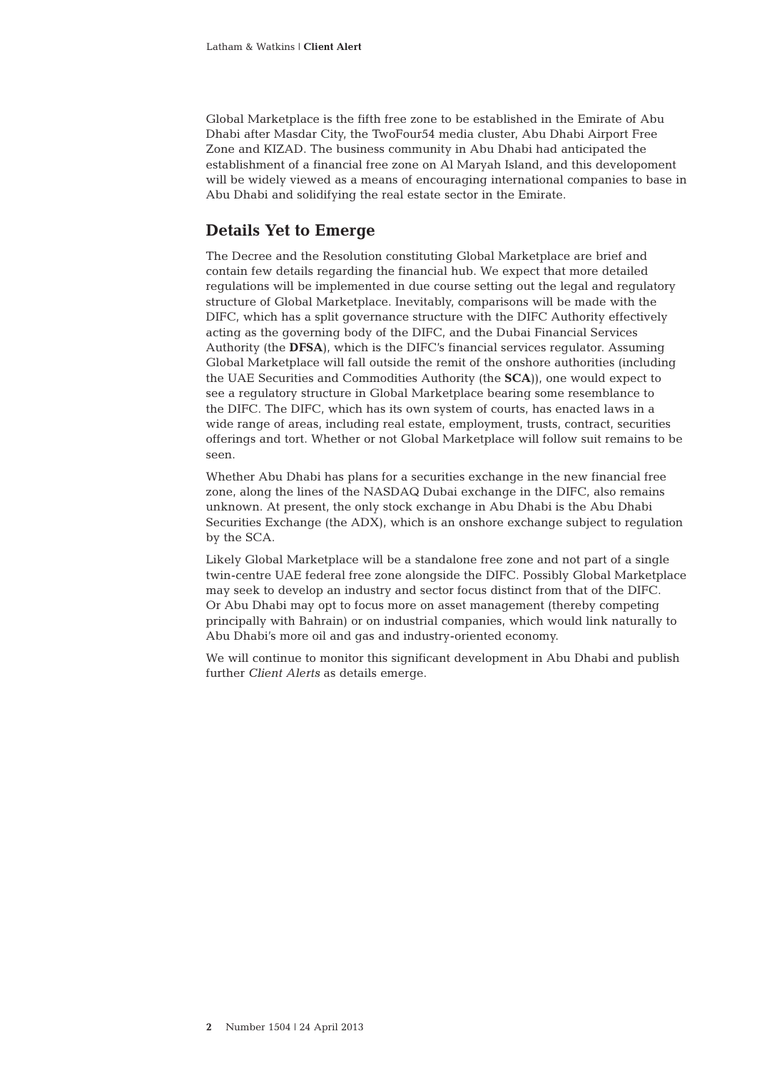Global Marketplace is the fifth free zone to be established in the Emirate of Abu Dhabi after Masdar City, the TwoFour54 media cluster, Abu Dhabi Airport Free Zone and KIZAD. The business community in Abu Dhabi had anticipated the establishment of a financial free zone on Al Maryah Island, and this developoment will be widely viewed as a means of encouraging international companies to base in Abu Dhabi and solidifying the real estate sector in the Emirate.

## **Details Yet to Emerge**

The Decree and the Resolution constituting Global Marketplace are brief and contain few details regarding the financial hub. We expect that more detailed regulations will be implemented in due course setting out the legal and regulatory structure of Global Marketplace. Inevitably, comparisons will be made with the DIFC, which has a split governance structure with the DIFC Authority effectively acting as the governing body of the DIFC, and the Dubai Financial Services Authority (the **DFSA**), which is the DIFC's financial services regulator. Assuming Global Marketplace will fall outside the remit of the onshore authorities (including the UAE Securities and Commodities Authority (the **SCA**)), one would expect to see a regulatory structure in Global Marketplace bearing some resemblance to the DIFC. The DIFC, which has its own system of courts, has enacted laws in a wide range of areas, including real estate, employment, trusts, contract, securities offerings and tort. Whether or not Global Marketplace will follow suit remains to be seen.

Whether Abu Dhabi has plans for a securities exchange in the new financial free zone, along the lines of the NASDAQ Dubai exchange in the DIFC, also remains unknown. At present, the only stock exchange in Abu Dhabi is the Abu Dhabi Securities Exchange (the ADX), which is an onshore exchange subject to regulation by the SCA.

Likely Global Marketplace will be a standalone free zone and not part of a single twin-centre UAE federal free zone alongside the DIFC. Possibly Global Marketplace may seek to develop an industry and sector focus distinct from that of the DIFC. Or Abu Dhabi may opt to focus more on asset management (thereby competing principally with Bahrain) or on industrial companies, which would link naturally to Abu Dhabi's more oil and gas and industry-oriented economy.

We will continue to monitor this significant development in Abu Dhabi and publish further *Client Alerts* as details emerge.